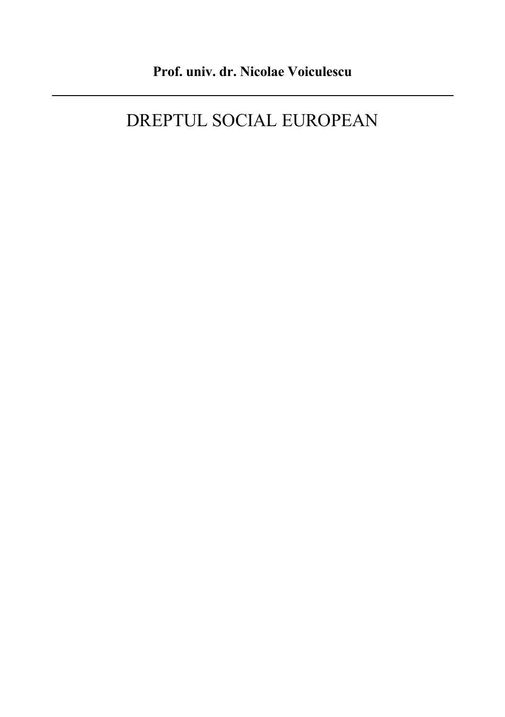# DREPTUL SOCIAL EUROPEAN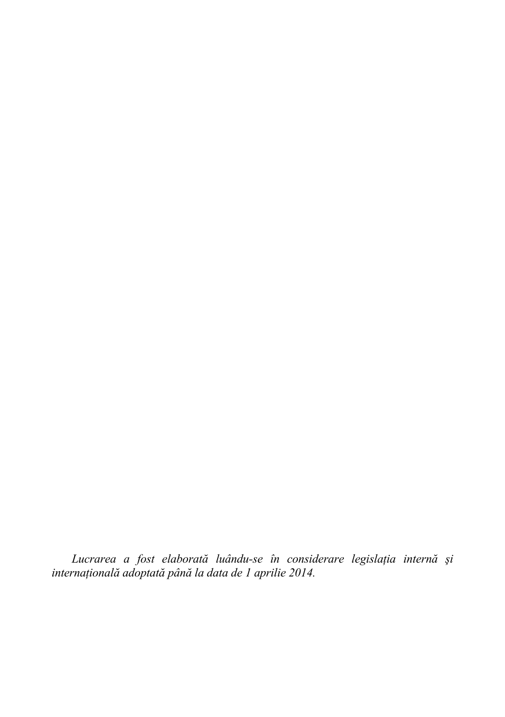*Lucrarea a fost elaborată luându-se în considerare legislația internă și internaĠională adoptată până la data de 1 aprilie 2014.*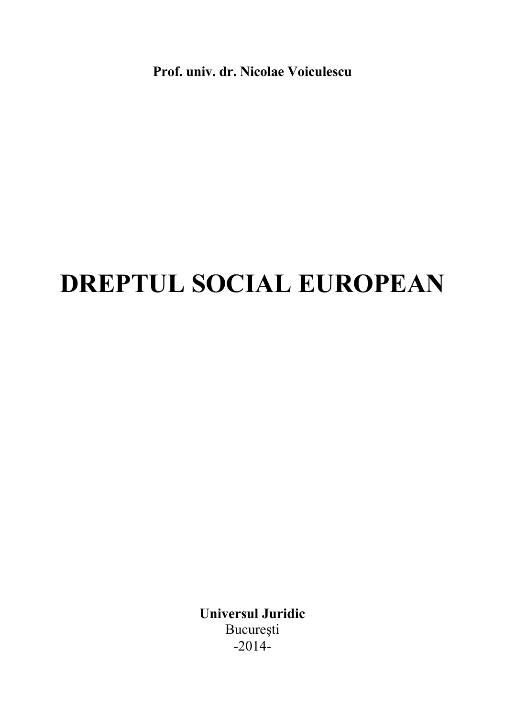**Prof. univ. dr. Nicolae Voiculescu**

# **DREPTUL SOCIAL EUROPEAN**

**Universul Juridic**  Bucureşti  $-2014-$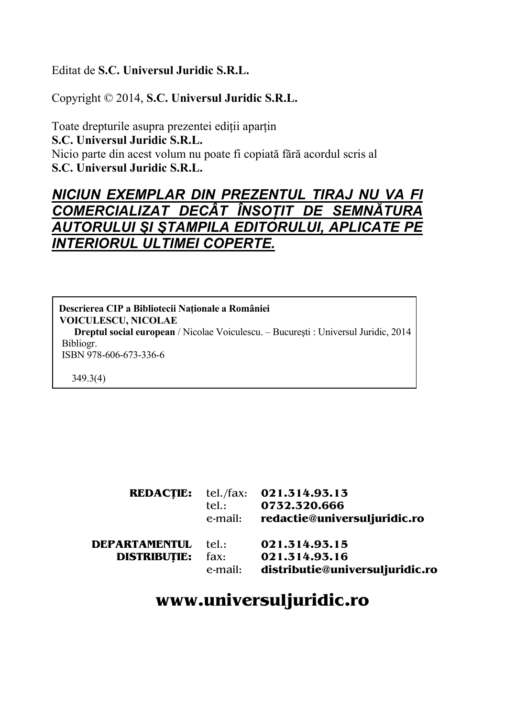### Editat de **S.C. Universul Juridic S.R.L.**

Copyright © 2014, **S.C. Universul Juridic S.R.L.** 

Toate drepturile asupra prezentei ediții aparțin **S.C. Universul Juridic S.R.L.**  Nicio parte din acest volum nu poate fi copiată fără acordul scris al **S.C. Universul Juridic S.R.L.** 

# *NICIUN EXEMPLAR DIN PREZENTUL TIRAJ NU VA FI COMERCIALIZAT DECÂT ÎNSOŢIT DE SEMNĂTURA AUTORULUI ŞI ŞTAMPILA EDITORULUI, APLICATE PE INTERIORUL ULTIMEI COPERTE.*

**Descrierea CIP a Bibliotecii Naționale a României VOICULESCU, NICOLAE Dreptul social european** / Nicolae Voiculescu. – Bucureşti : Universul Juridic, 2014 Bibliogr. ISBN 978-606-673-336-6

**REDACÞIE:** tel./fax: **021.314.93.13** 

349.3(4)

|                            | tel.:   | <b>REDACTIE:</b> Let./1ax: <b>021.314.93.13</b><br>0732.320.666<br>e-mail: redactie@universuljuridic.ro |
|----------------------------|---------|---------------------------------------------------------------------------------------------------------|
| <b>DEPARTAMENTUL</b> tel.: |         | 021.314.93.15                                                                                           |
| <b>DISTRIBUTIE:</b>        | fax:    | 021.314.93.16                                                                                           |
|                            | e-mail: | distributie@universuljuridic.ro                                                                         |

# **www.universuljuridic.ro**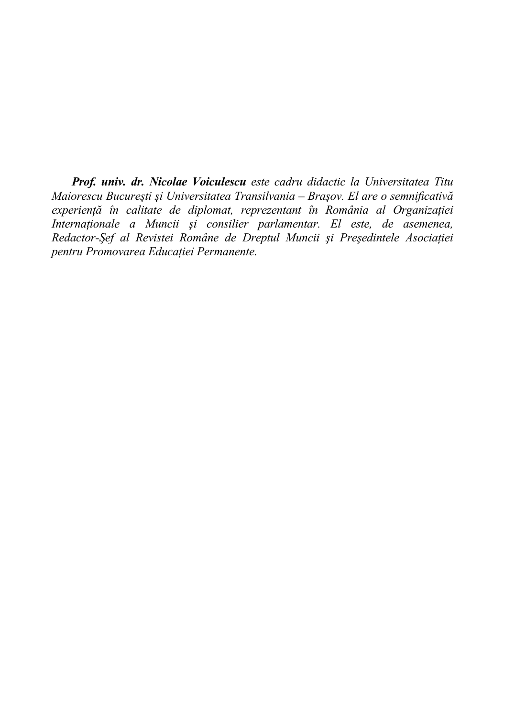*Prof. univ. dr. Nicolae Voiculescu este cadru didactic la Universitatea Titu Maiorescu Bucureşti şi Universitatea Transilvania – Braşov. El are o semnificativă experiență în calitate de diplomat, reprezentant în România al Organizației Internaționale a Muncii și consilier parlamentar. El este, de asemenea, Redactor-Șef al Revistei Române de Dreptul Muncii și Președintele Asociației pentru Promovarea EducaĠiei Permanente.*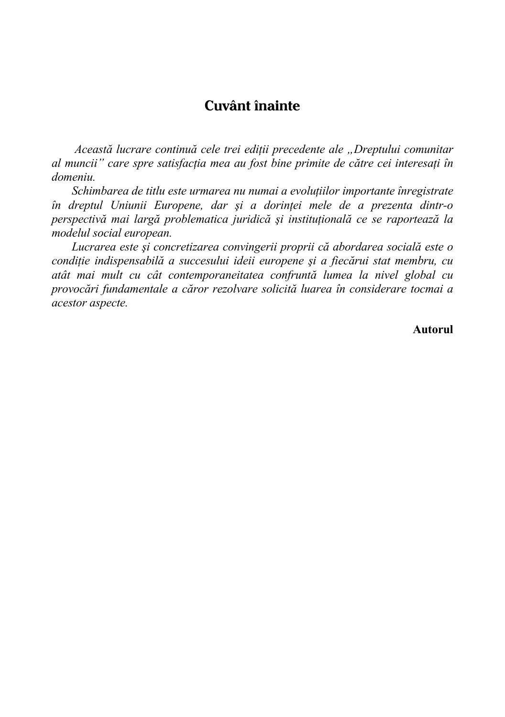## **Cuvânt înainte**

 *Această lucrare continuă cele trei ediĠii precedente ale "Dreptului comunitar*   $a$ *l* muncii" care spre satisfacția mea au fost bine primite de către cei interesați în *domeniu.* 

 $S$ *chimbarea de titlu este urmarea nu numai a evoluțiilor importante înregistrate în dreptul Uniunii Europene, dar și a dorinței mele de a prezenta dintr-o perspectivă* mai largă problematica juridică și instituțională ce se raportează la *modelul social european.* 

*Lucrarea este şi concretizarea convingerii proprii că abordarea socială este o condiĠie indispensabilă a succesului ideii europene şi a fiecărui stat membru, cu atât mai mult cu cât contemporaneitatea confruntă lumea la nivel global cu provocări fundamentale a căror rezolvare solicită luarea în considerare tocmai a acestor aspecte.* 

**Autorul**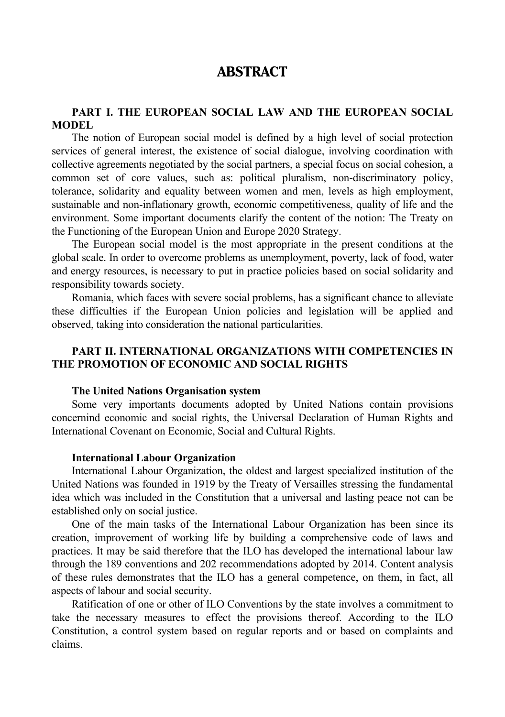## **ABSTRACT**

#### **PART I. THE EUROPEAN SOCIAL LAW AND THE EUROPEAN SOCIAL MODEL**

The notion of European social model is defined by a high level of social protection services of general interest, the existence of social dialogue, involving coordination with collective agreements negotiated by the social partners, a special focus on social cohesion, a common set of core values, such as: political pluralism, non-discriminatory policy, tolerance, solidarity and equality between women and men, levels as high employment, sustainable and non-inflationary growth, economic competitiveness, quality of life and the environment. Some important documents clarify the content of the notion: The Treaty on the Functioning of the European Union and Europe 2020 Strategy.

The European social model is the most appropriate in the present conditions at the global scale. In order to overcome problems as unemployment, poverty, lack of food, water and energy resources, is necessary to put in practice policies based on social solidarity and responsibility towards society.

Romania, which faces with severe social problems, has a significant chance to alleviate these difficulties if the European Union policies and legislation will be applied and observed, taking into consideration the national particularities.

#### **PART II. INTERNATIONAL ORGANIZATIONS WITH COMPETENCIES IN THE PROMOTION OF ECONOMIC AND SOCIAL RIGHTS**

#### **The United Nations Organisation system**

Some very importants documents adopted by United Nations contain provisions concernind economic and social rights, the Universal Declaration of Human Rights and International Covenant on Economic, Social and Cultural Rights.

#### **International Labour Organization**

International Labour Organization, the oldest and largest specialized institution of the United Nations was founded in 1919 by the Treaty of Versailles stressing the fundamental idea which was included in the Constitution that a universal and lasting peace not can be established only on social justice.

One of the main tasks of the International Labour Organization has been since its creation, improvement of working life by building a comprehensive code of laws and practices. It may be said therefore that the ILO has developed the international labour law through the 189 conventions and 202 recommendations adopted by 2014. Content analysis of these rules demonstrates that the ILO has a general competence, on them, in fact, all aspects of labour and social security.

Ratification of one or other of ILO Conventions by the state involves a commitment to take the necessary measures to effect the provisions thereof. According to the ILO Constitution, a control system based on regular reports and or based on complaints and claims.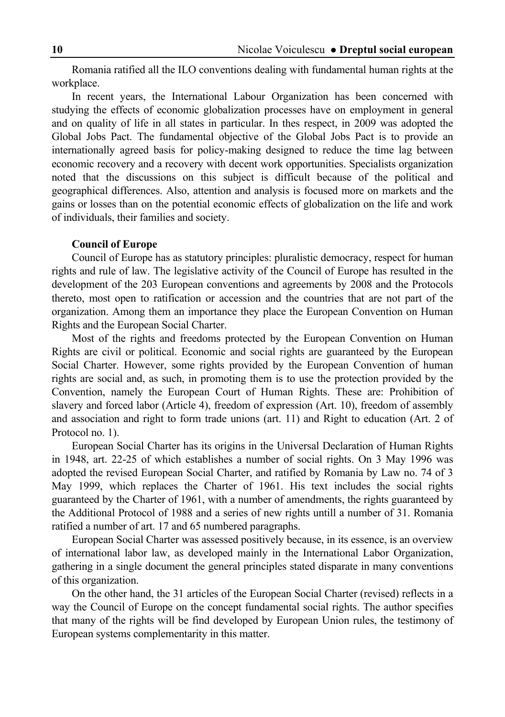Romania ratified all the ILO conventions dealing with fundamental human rights at the workplace.

In recent years, the International Labour Organization has been concerned with studying the effects of economic globalization processes have on employment in general and on quality of life in all states in particular. In thes respect, in 2009 was adopted the Global Jobs Pact. The fundamental objective of the Global Jobs Pact is to provide an internationally agreed basis for policy-making designed to reduce the time lag between economic recovery and a recovery with decent work opportunities. Specialists organization noted that the discussions on this subject is difficult because of the political and geographical differences. Also, attention and analysis is focused more on markets and the gains or losses than on the potential economic effects of globalization on the life and work of individuals, their families and society.

#### **Council of Europe**

Council of Europe has as statutory principles: pluralistic democracy, respect for human rights and rule of law. The legislative activity of the Council of Europe has resulted in the development of the 203 European conventions and agreements by 2008 and the Protocols thereto, most open to ratification or accession and the countries that are not part of the organization. Among them an importance they place the European Convention on Human Rights and the European Social Charter.

Most of the rights and freedoms protected by the European Convention on Human Rights are civil or political. Economic and social rights are guaranteed by the European Social Charter. However, some rights provided by the European Convention of human rights are social and, as such, in promoting them is to use the protection provided by the Convention, namely the European Court of Human Rights. These are: Prohibition of slavery and forced labor (Article 4), freedom of expression (Art. 10), freedom of assembly and association and right to form trade unions (art. 11) and Right to education (Art. 2 of Protocol no. 1).

European Social Charter has its origins in the Universal Declaration of Human Rights in 1948, art. 22-25 of which establishes a number of social rights. On 3 May 1996 was adopted the revised European Social Charter, and ratified by Romania by Law no. 74 of 3 May 1999, which replaces the Charter of 1961. His text includes the social rights guaranteed by the Charter of 1961, with a number of amendments, the rights guaranteed by the Additional Protocol of 1988 and a series of new rights untill a number of 31. Romania ratified a number of art. 17 and 65 numbered paragraphs.

European Social Charter was assessed positively because, in its essence, is an overview of international labor law, as developed mainly in the International Labor Organization, gathering in a single document the general principles stated disparate in many conventions of this organization.

On the other hand, the 31 articles of the European Social Charter (revised) reflects in a way the Council of Europe on the concept fundamental social rights. The author specifies that many of the rights will be find developed by European Union rules, the testimony of European systems complementarity in this matter.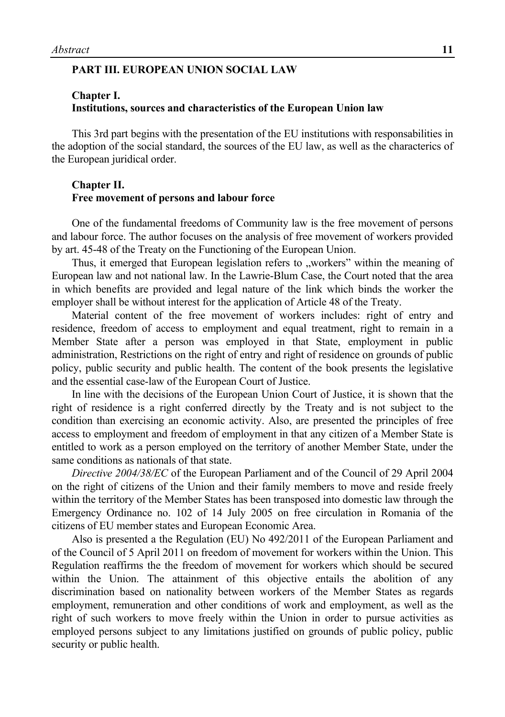#### **PART III. EUROPEAN UNION SOCIAL LAW**

#### **Chapter I. Institutions, sources and characteristics of the European Union law**

This 3rd part begins with the presentation of the EU institutions with responsabilities in the adoption of the social standard, the sources of the EU law, as well as the characterics of the European juridical order.

#### **Chapter II. Free movement of persons and labour force**

One of the fundamental freedoms of Community law is the free movement of persons and labour force. The author focuses on the analysis of free movement of workers provided by art. 45-48 of the Treaty on the Functioning of the European Union.

Thus, it emerged that European legislation refers to "workers" within the meaning of European law and not national law. In the Lawrie-Blum Case, the Court noted that the area in which benefits are provided and legal nature of the link which binds the worker the employer shall be without interest for the application of Article 48 of the Treaty.

Material content of the free movement of workers includes: right of entry and residence, freedom of access to employment and equal treatment, right to remain in a Member State after a person was employed in that State, employment in public administration, Restrictions on the right of entry and right of residence on grounds of public policy, public security and public health. The content of the book presents the legislative and the essential case-law of the European Court of Justice.

In line with the decisions of the European Union Court of Justice, it is shown that the right of residence is a right conferred directly by the Treaty and is not subject to the condition than exercising an economic activity. Also, are presented the principles of free access to employment and freedom of employment in that any citizen of a Member State is entitled to work as a person employed on the territory of another Member State, under the same conditions as nationals of that state.

*Directive 2004/38/EC* of the European Parliament and of the Council of 29 April 2004 on the right of citizens of the Union and their family members to move and reside freely within the territory of the Member States has been transposed into domestic law through the Emergency Ordinance no. 102 of 14 July 2005 on free circulation in Romania of the citizens of EU member states and European Economic Area.

Also is presented a the Regulation (EU) No 492/2011 of the European Parliament and of the Council of 5 April 2011 on freedom of movement for workers within the Union. This Regulation reaffirms the the freedom of movement for workers which should be secured within the Union. The attainment of this objective entails the abolition of any discrimination based on nationality between workers of the Member States as regards employment, remuneration and other conditions of work and employment, as well as the right of such workers to move freely within the Union in order to pursue activities as employed persons subject to any limitations justified on grounds of public policy, public security or public health.